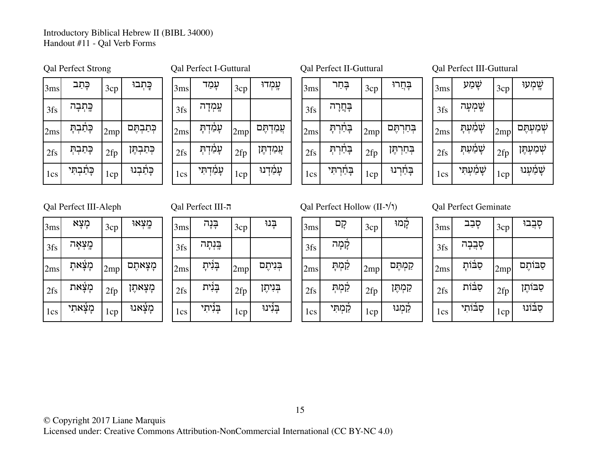| ral |  |  | ı |
|-----|--|--|---|
|     |  |  |   |

| 3ms | כָּתַב               | 3cp | כֵּתְבוּ              |
|-----|----------------------|-----|-----------------------|
| 3fs | כֶּתְבָה             |     |                       |
| 2ms | <u>ָקַּתְַ֫בְ</u> תָ | 2mp | ݙݒݓݙݓݸ                |
| 2fs | כָּתַבְהְ            | 2fp | כְּתַבְהֶן            |
| 1cs | <b>ּ</b> בְּתַ֫בְחָי | 1cp | <b>ּ</b> קַתַּֽֽֽֽנוּ |

| 3ms | עָמַד      | 3cp | עֳמְדוּ             |
|-----|------------|-----|---------------------|
| 3fs | עֳמִדָה    |     |                     |
| 2ms | עָמַ֫דְתָ  | 2mp | <u>ְעֲמַ</u> דְתֶּם |
| 2fs | עָמַ֫דִּתְ | 2fp | <b>ڹؚٳ</b> ڟٟדְהֶן  |
| 1cs | עֲמַ֫דְתִי | 1cp | <b>עָמַ֫דְנוּ</b>   |

| 3ms | בְּחַר                | 3cp | בְּחֲרוּ   |
|-----|-----------------------|-----|------------|
| 3fs | בָּחֲרָה              |     |            |
| 2ms | בָּחַ֫רִתְ            | 2mp | ݗݓݩݔݑݸ     |
| 2fs | בְּחַ֫רִתְּ           | 2fp | ݗݓݩݔݖݺ     |
| 1cs | <u>בָּחַ֫וְרִתְּי</u> | 1cp | בֲחַ֫רְנוּ |

## Qal Perfect Strong Qal Perfect I-Guttural Qal Perfect II-Guttural Qal Perfect III-Guttural

| 3ms | שְׁמַע               | 3cp | שֳמְעוּ      |
|-----|----------------------|-----|--------------|
| 3fs | ゙゙ٛٚٚٚٚٛٚٚٚٚؾٕ؋ڛڔ    |     |              |
| 2ms | שְׁמַ֫עְהָ           | 2mp | שְׁמַעְהֶם   |
| 2fs | שְׁמַׁעַהְ           | 2fp | שְמַטְהָן    |
| 1cs | <u>שָׁמַ֫עְ</u> תִּי | 1cp | ֹשָׁמַ֫עְנוּ |

| 3ms | מִצְא      | 3cp | מַצְאוּ   |
|-----|------------|-----|-----------|
| 3fs | מְצְאָה    |     |           |
| 2ms | מְצָ֫אתָ   | 2mp | מַצָאתִם  |
| 2fs | מַצַּׁאת   | 2fp | מַצַאתֵן  |
| 1cs | ֿמַצַּאתִי | 1cp | מַצַּאנוּ |

| 3ms | בְּנְה           | 3cp | בְנוּ            |
|-----|------------------|-----|------------------|
| 3fs | בֵּנְתָה         |     |                  |
| 2ms | בְּנִיתָ         | 2mp | בְּנִיהָם        |
| 2fs | בַּנִּ֫ית        | 2fp | בִּנִיתֶן        |
| 1cs | <b>בַּנִיתִי</b> | 1cp | <b>בַּנְינוּ</b> |

## Qal Perfect III-Aleph Qal Perfect III- $\overline{a}$  Qal Perfect Hollow (II- $\gamma$ ) Qal Perfect Geminate

| 3ms | קָם                 | 3cp | קַׁמוּ   |
|-----|---------------------|-----|----------|
| 3fs | קָ <del>ֿ</del> מֳה |     |          |
| 2ms | קַׁמְתָּ            | 2mp | קמְתֵּם  |
| 2fs | קַׁמְתָ             | 2fp | קמְתֶּז  |
| 1cs | <u>ק</u> ַׁמְתִי    | 1cp | קַׁמְנוּ |

| 3ms | סְבַב     | 3cp | סְבְבוּ   |
|-----|-----------|-----|-----------|
| 3fs | סְבָבָה   |     |           |
| 2ms | סַבּֿוֹתָ | 2mp | סַבּוֹתִם |
| 2fs | סַבּֿוֹת  | 2fp | סַבּוֹתֵן |
| 1cs | סַבֿותי   | 1cp | סבֿונו    |

© Copyright 2017 Liane Marquis Licensed under: Creative Commons Attribution-NonCommercial International (CC BY-NC 4.0)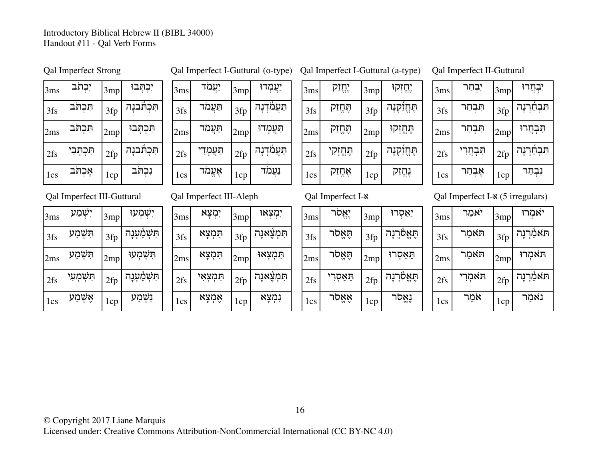וּבְתְּכִי

3ms

3fs

2ms

2fs

1cs

ֿתִּכְתְּבנָה

וּבְתְּכִתּ

ֿתִּכְתּ<del>ׂ</del>בנְה

בֹתְּכִנ

3mp

3fp

2mp

2fp

1cp

בֹתְכִי

בֹתְּכִתּ

בֹתְּכִתּ

יִבְתְּכִתּ

בֹתְּכֶא

3ms

3fs

2ms

2fs

1cs

# Qal Imperfect Strong Qal Imperfect I-Guttural (o-type) Qal Imperfect I-Guttural (a-type) Qal Imperfect II-Guttural

3mp

3fp

2mp

2fp

1cp

דֹמֲעַי

דֹמֲעַתּ

דֹמֲעַתּ

יִדְמֲעַתּ

דֹמֱעֶא

וּדְמֲעַי

הַעֲמ<u>ֿ</u>דְנָה

וּדְמֲעַתּ

הַ**עֲמִדְבָה** 

נַעֲמֹד

| 3ms | יֶחֱזַק   | 3mp | יֱחֵזְקוּ            |
|-----|-----------|-----|----------------------|
| 3fs | תָּחֱזַק  | 3fp | הָחֶזַקְנָה          |
| 2ms | פֶּחֲזַק  | 2mp | תֶּחֶזְקוּ           |
| 2fs | הָחֱזְקִי | 2fp | <b>ױֶ</b> יװָזַקְנָה |
| 1cs | אָחֱזַק   | 1cp | נְחֵיַק              |

| 3ms | יִבְחַר    | 3mp | יִבְחֲרוּ                    |
|-----|------------|-----|------------------------------|
| 3fs | תִּבְחַר   | 3fp | <u>עֲדָ</u> ּקָנוּנ          |
| 2ms | תִּבְחַר   | 2mp | תִּבְחֲרוּ                   |
| 2fs | תִּבְחֲרִי | 2fp | תַּבְרַ֫וְר <del>ָ</del> נְה |
| 1cs | אָבְחַר    | 1cp | נִבְחַו                      |

| 3ms | יִשְׁמַע   | 3mp | יִשְׁמְעוּ              |
|-----|------------|-----|-------------------------|
| 3fs | תִּשְׁמַע  | 3fp | <u>הַ</u> שְׁמַ֫עְנָה   |
| 2ms | תִּשְׁמַע  | 2mp | חִשְׁמְעוּ              |
| 2fs | הִשְׁמְעִי | 2fp | ּתִ <b>שְׁמַ֫</b> עְנָה |
| 1cs | אָשְׁמַע   | 1cp | נִשְׁמַע                |

| 3ms | יִמְצָא    | 3mp | יִמְצְאוּ     |
|-----|------------|-----|---------------|
| 3fs | תִּמְצַא   | 3fp | תִּמְצֵּׁאנָה |
| 2ms | תִּמְצָא   | 2mp | תִּמְצְאוּ    |
| 2fs | תִּמְצָאִי | 2fp | תִּמְצֵׁאנָה  |
| 1cs | אָמְצָא    | 1cp | לטִצֹא        |

| 3ms | יֵאֱסֹר    | 3mp | יַאַסְרוּ     |
|-----|------------|-----|---------------|
| 3fs | תְאֱסֹר    | 3fp | ֿהָאֱסֿךְנָה  |
| 2ms | הָאֱסֹר    | 2mp | תַּאֲסְרוּ    |
| 2fs | תַּאַסְרִי | 2fp | תָּאֱסֹׁרְנָה |
| 1cs | DÄÄ        | 1cp | נאכ           |

Qal Imperfect III-Guttural Qal Imperfect III-Aleph Qal Imperfect I-א Qal Imperfect I-א Qal Imperfect I-א) Simegulars)

| 3ms | יֹאמַר | 3mp | יאמרו             |
|-----|--------|-----|-------------------|
| 3fs | תאמר   | 3fp | <u>תֹאמַרְנָה</u> |
| 2ms | תאמר   | 2mp | תאמרו             |
| 2fs | תאמרי  | 2fp | תֹּאמַ֫רְנָה      |
| 1cs | אמר    | 1cp | נאמר              |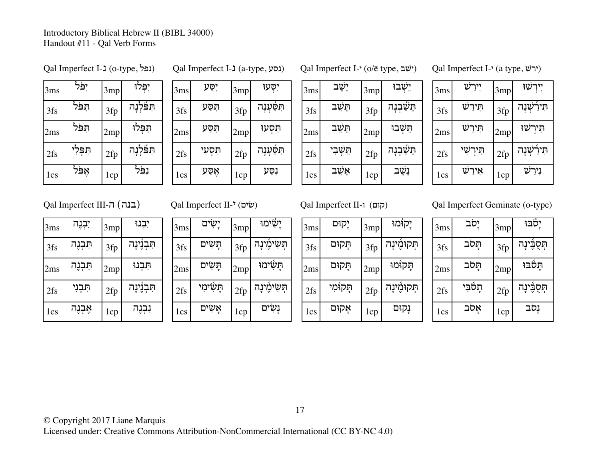3ms 3fs 2ms 2fs 1cs לֹפִּי לֹפִּתּ לֹפִּתּ יִלְפִּתּ לֹפֶּא 3mp 3fp 2mp 2fp 1cp וּלְפִּי ֿ תִּפֿלְנָה וּלְפִּתּ הַפִּלְנָה לֹפִּנ

| 3ms | יִפַּע   | 3mp | יִסְעוּ             |
|-----|----------|-----|---------------------|
| 3fs | תִּסַּע  | 3fp | תִּפַּ֫עְנָה        |
| 2ms | תִּסַּע  | 2mp | תִּסְעוּ            |
| 2fs | תִּסְעִי | 2fp | <b>ִ</b> יתַּׂטְנְה |
| 1cs | אִסַע    | 1cp | נִסֵע               |

| 3 <sub>ms</sub> | יֵשֵׁב    | 3 <sub>mp</sub> | יִשְׁבוּ                 |
|-----------------|-----------|-----------------|--------------------------|
| 3fs             | תֵּשֵׁב   | 3fp             | תֵּ <del>שׁ</del> ַבְנָה |
| 2ms             | תֵּשֵׁב   | 2mp             | תֵּשָׁבוּ                |
| 2fs             | תֵּשָׁבִי | 2fp             | תּשַּׁבְנְה              |
| 1cs             | אֵשֵׁב    | 1cp             | נַשֵׁב                   |

## Qal Imperfect I-1 ( ( ( ( ( כוט Qal Imperfect I- $\alpha$  ( a-type, נסע) Qal Imperfect I- $\gamma$  (o/ē type, ירשב) Qal Imperfect I- $\gamma$  (a type, ירשב)

| 3ms | יִירַשׁ   | 3mp | ייִרְשׁוּ                  |
|-----|-----------|-----|----------------------------|
| 3fs | תִּירַשׁ  | 3fp | <u>ה</u> ִירַ֫שְׁנָה       |
| 2ms | תִּירַשׁ  | 2mp | תִּיִרְשׁוּ                |
| 2fs | חִירְשִׁי | 2fp | ּתִירַ <sup>ׂ</sup> שְׁנָה |
| 1cs | אִירַשׁ   | 1cp | נִירַשׁ                    |

| 3ms             | יִבְנֶה  | 3mp | יִבְנוּ     |
|-----------------|----------|-----|-------------|
| 3fs             | תִּבְנֶה | 3fp | תִּבְנֶינָה |
| 2ms             | תִּבְנֶה | 2mp | תִּבְנוּ    |
| 2fs             | תִּבְנִי | 2fp | תִּבְנֶינָה |
| 1 <sub>cs</sub> | אָבְנֶה  | 1cp | ּנִבְנֶה    |

| 3ms | יַשִׂים    | 3mp | ישׂימו              |
|-----|------------|-----|---------------------|
| 3fs | תַּשִׂים   | 3fp | <b>חְשִׂימֶינְה</b> |
| 2ms | תַּשִׂים   | 2mp | חַשִׂימוּ           |
| 2fs | תַּעַׂימִי | 2fp | חִשִׂימֵינָה        |

1cp

<u>נָשִׂים</u>

אַשִׂים

| 3ms | יֶקוּם   | 3mp | יָקוּׄמוּ                 |
|-----|----------|-----|---------------------------|
| 3fs | תָקוּם   | 3fp | <b>תְּקוּמֶינָה</b>       |
| 2ms | תָקוּם   | 2mp | תֲקוֹּמוּ                 |
| 2fs | תֲקוֹמִי | 2fp | תִּקוּמֶינ <sub>ָ</sub> ה |
| 1cs | אַקוּם   | 1cp | נַקוּם                    |

Qal Imperfect III- $\sigma$  ( קום ) (Qal Imperfect II- $\sigma$  ) al Imperfect II-۱ (קום ) Qal Imperfect Geminate (o-type)

| 3ms | יַסׂב    | 3mp | יסבו               |
|-----|----------|-----|--------------------|
| 3fs | תַּסֹב   | 3fp | <b>ױָסָבֶּינָה</b> |
| 2ms | תֵּסֹב   | 2mp | תַּסֹבוּ           |
| 2fs | תַסֹּבִי | 2fp | ݭػۊ۪؞ڎؘڎ           |
| 1cs | אַסֹב    | 1cp | נסב                |

1cs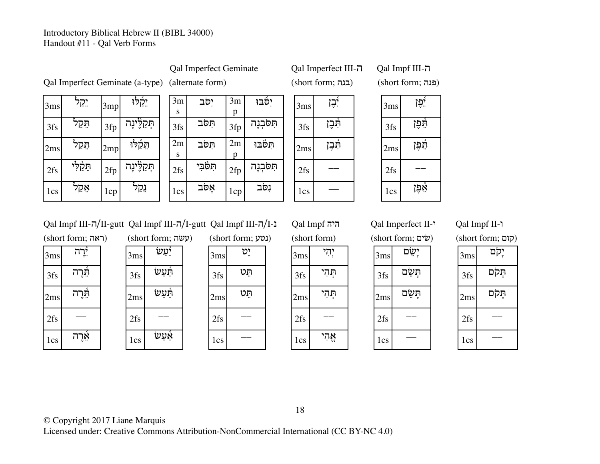|              |           |          |                                 |         | <b>Qal Imperfect Geminate</b> |         |             |     | <b>Qal Imperfect III-7</b> |                 | ה-Qal Impf III    |
|--------------|-----------|----------|---------------------------------|---------|-------------------------------|---------|-------------|-----|----------------------------|-----------------|-------------------|
|              |           |          | Qal Imperfect Geminate (a-type) |         | (alternate form)              |         |             |     | (short form; בנה)          |                 | (short form; פנה) |
| 3ms          | יֵקַל     | 3mp      | יַקַלוּ:                        | 3m<br>S | יסֹב                          | 3m<br>р | יסֿבו       | 3ms | יִבְז                      | 3ms             | <u>יִׁפְן</u>     |
| 3fs          | תֵּקַל    | 3fp      | <b>ױַ</b> קַלֶּינָה             | 3fs     | תּסֹב                         | 3fp     | תִּסֹּבְנָה | 3fs | תִּׁבֵן                    | 3fs             | زنقل              |
| 2ms          | תֵּקַל    | $12$ mpl | װ <b>ַ</b> קַלן                 | 2m<br>S | תּסֹב                         | 2m<br>p | תּסֹבוּ     | 2ms | ڹڗڐٳ                       | 2ms             | ڹٟۊڐٳ             |
| 2fs          | لترَبِّلز | 2fp      | תִּקַלֶּינָה                    | 2fs     | תָּסֹּבִי                     | 2fp     | תִּסֹּבְנָה | 2fs |                            | 2fs             |                   |
| $1\text{cs}$ | אֵקַל     | 1cp      | נֵקַל                           | 1cs     | אֵסֹּב                        | 1cp     | נסֹב        | 1cs |                            | 1 <sub>cs</sub> | אָפֶן             |

 $3ms$ 

3fs

2ms

2fs

1cs

|     | .,                        |
|-----|---------------------------|
| 3ms | יָ֫֩֗׆֥֛֜ <del>֖֖</del> ֚ |
| 3fs | ױ <u>ַ</u>                |
| 2ms | ڹۣۜڗڟۯ                    |
| 2fs |                           |
| 1cs | אָׁפָן                    |

Qal Impf III-ה/II-gutt Qal Impf III-ה/I-gutt Qal Impf III-ה/I-נ Qal Impf היה Qal Imperfect II-י Qal Impf II-ו

3ms

3fs

2ms

2fs

1cs

הֶרֵ֫י

ּתֵּ֫רֶה

הֶרֵ֫תּ

––

ּאֵרֵה

3ms

3fs

2ms

2fs

1cs

| (short form: עשה) |  |
|-------------------|--|

שַׂעַ֫י

ֿמַעַש

ֿמַעַשׂ

––

ֹשַׁעַשׂ

טֵי

טֵתּ

טֵתּ

––

––

|  | (short form) |  |
|--|--------------|--|

| (SHOLL TOLIII) |        |  |
|----------------|--------|--|
| 3ms            | יִהִי  |  |
| 3fs            | תִּהִי |  |
| 2ms            | תְּהִי |  |
| 2fs            |        |  |
| 1cs            | הי     |  |

(short form; שׂים) (short form; עשׂה) ( short form; עטע) (short form; באה) (short form; שים) (short form; באה

| 3ms | יְשֵׂם  |
|-----|---------|
| 3fs | תְּשֵׂם |
| 2ms | הָשָׂם  |
| 2fs |         |
| 1cs |         |

| <b>Qal Impf II-1</b> |  |
|----------------------|--|
| הום (short form      |  |

| 3ms | יָקׂם  |
|-----|--------|
| 3fs | תַּקֹם |
| 2ms | תַּקֹם |
| 2fs |        |
| 1cs |        |

## © Copyright 2017 Liane Marquis Licensed under: Creative Commons Attribution-NonCommercial International (CC BY-NC 4.0)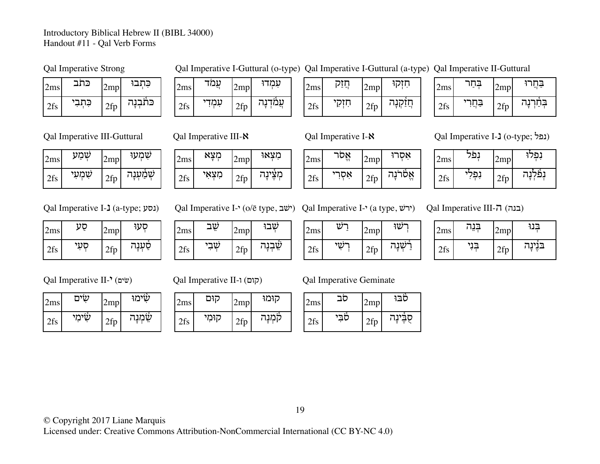# Qal Imperative Strong Qal Imperative I-Guttural (o-type) Qal Imperative I-Guttural (a-type) Qal Imperative II-Guttural

| 2ms | כתב  | 2mp | כתבו  |
|-----|------|-----|-------|
| 2fs | כתבי | 2fp | כתבנה |

|      | Qal Imperative I-Guttural (0-ty |      |      |
|------|---------------------------------|------|------|
| 2msl | עמד                             | 2mnl | עמדו |

| 2ms | بددرر | $2$ mpl | ע בווי |
|-----|-------|---------|--------|
| 2fs | עמדי  | 2fp     | עמדנה  |

| 2ms | חזה     | $12$ mpl | חזקו            |
|-----|---------|----------|-----------------|
| 2fs | חִזְקִי | 2fp      | <u>הַזַקנָה</u> |

2ms 2fs רַחְבּ יִרֲחַבּ 2mp 2fp וּרֲחַבּ הָנְרַ֫חְבּ

| 2ms | שמע  | $12$ mp $\overline{1}$ | שמעו         |
|-----|------|------------------------|--------------|
| 2fs | שמעי | 2fp                    | שִׁמַּעָּנָה |

| 2ms | מצא  | $12$ mp $\overline{1}$ | מצאו               |
|-----|------|------------------------|--------------------|
| 2fs | מצאי | 2fp                    | זציו ה<br>$\cdots$ |

┑

| 12ms | $\ddotsc$ | $12$ mpl | אסרוּ     |
|------|-----------|----------|-----------|
| 2fs  |           | 2fp      | אסרנה<br> |

Qal Imperative III-Guttural Qal Imperative III- $\aleph$  Qal Imperative I- $\aleph$  Qal Imperative I-1 (o-type; دود)

| (2ms) | נפל | 2mp | נפלו  |
|-------|-----|-----|-------|
| 2fs   |     | 2fp | נפלנה |

2ms 2fs עַס יִעְס 2mp 2fp וּעְס פֿעְנָה

| $2ms$ <sup>1</sup> | שים  | 2mp | שימו |
|--------------------|------|-----|------|
| 2fs                | שימי | 2fp | שמנה |

Qal Imperative I-1 (a-type; נסע) Qal Imperative I- $\dot{O}(\bar{e}$  type, (יולש: Qal Imperative I- $\dot{O}(\bar{e}$  type, ה-Qal Imperative III-ה (בנה)

| 2ms |     | 2mp | שבו                         |
|-----|-----|-----|-----------------------------|
| 2fs | ערי | 2fp | שבנה<br>$ \cdot$<br>$\cdot$ |

Qal Imperative II-<sup></sup> (ש<sup>ים</sup>)  $Q$ al Imperative II-۱ (קום) ו-Qal Imperative Geminate

| 2ms | קום  | 2mp | קומו   |
|-----|------|-----|--------|
| 2fs | קומי | 2fp | קמְנָה |

| 2ms | ינט | 2mp |  |
|-----|-----|-----|--|
| 2fs | שי  | 2fp |  |

| 2ms | בנה<br>$\overline{\cdots}$ | 2mp |       |
|-----|----------------------------|-----|-------|
| 2fs | تذلا '                     | 2fp | בנינה |

| 2ms |    | 2mp | הו             |
|-----|----|-----|----------------|
| 2fs | הי | 2fp | $\overline{1}$ |